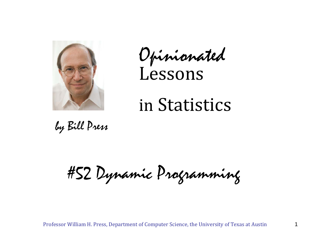

Opinionated Lessons

# in Statistics

by Bill Press

#52 Dynamic Programming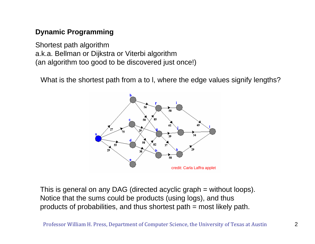## **Dynamic Programming**

Shortest path algorithm a.k.a. Bellman or Dijkstra or Viterbi algorithm (an algorithm too good to be discovered just once!)

What is the shortest path from a to l, where the edge values signify lengths?



This is general on any DAG (directed acyclic graph = without loops). Notice that the sums could be products (using logs), and thus products of probabilities, and thus shortest path = most likely path.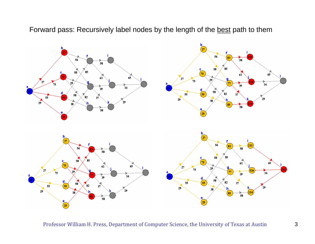Forward pass: Recursively label nodes by the length of the best path to them

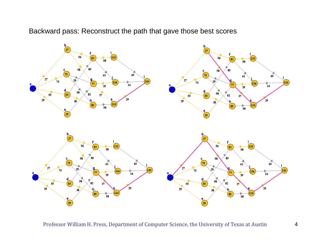## Backward pass: Reconstruct the path that gave those best scores

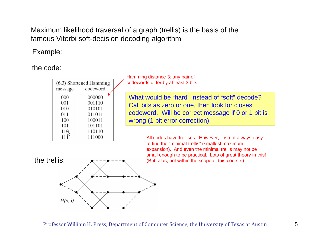Maximum likelihood traversal of a graph (trellis) is the basis of the famous Viterbi soft-decision decoding algorithm

## Example:

the code:

| message | $(6,3)$ Shortened Hamming<br>codeword |
|---------|---------------------------------------|
| 000     | 000000                                |
| 001     | 001110                                |
| 010     | 010101                                |
| 011     | 011011                                |
| 100     | 100011                                |
| 101     | 101101                                |
| 110     | 110110                                |
|         | 111000                                |

Hamming distance 3: any pair of codewords differ by at least 3 bits

What would be "hard" instead of "soft" decode? Call bits as zero or one, then look for closest codeword. Will be correct message if 0 or 1 bit is wrong (1 bit error correction).

All codes have trellises. However, it is not always easy to find the "minimal trellis" (smallest maximum expansion). And even the minimal trellis may not be small enough to be practical. Lots of great theory in this!<br>the trellis:  $\star$ --- $\star$ --- $\bullet$  (But. alas. not within the scope of this course.) (But, alas, not within the scope of this course.)

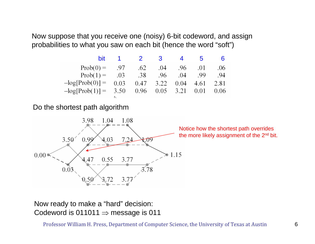Now suppose that you receive one (noisy) 6-bit codeword, and assign probabilities to what you saw on each bit (hence the word "soft")

| bit                                                                        |     | $\overline{\mathbf{2}}$ | $\mathbf{3}$ | 4   | $\mathbf{b}$ | 6    |
|----------------------------------------------------------------------------|-----|-------------------------|--------------|-----|--------------|------|
| $Prob(0) =$                                                                | .97 | .62                     | .04          | .96 | .01          | .06  |
| $Prob(1) = 0.03$                                                           |     | .38                     | .96          | .04 | .99          | .94  |
| $-\log[\text{Prob}(0)] = 0.03$ 0.47 3.22 0.04 4.61                         |     |                         |              |     |              | 2.81 |
| $-\log[\text{Prob}(1)] = 3.50 \quad 0.96 \quad 0.05 \quad 3.21 \quad 0.01$ |     |                         |              |     |              | 0.06 |
|                                                                            |     |                         |              |     |              |      |

Do the shortest path algorithm



Notice how the shortest path overrides the more likely assignment of the 2<sup>nd</sup> bit.

Now ready to make a "hard" decision: Codeword is 011011  $\Rightarrow$  message is 011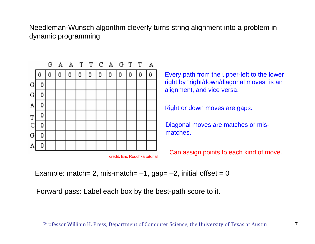Needleman-Wunsch algorithm cleverly turns string alignment into a problem in dynamic programming



Every path from the upper-left to the lower right by "right/down/diagonal moves" is an alignment, and vice versa.

Right or down moves are gaps.

Diagonal moves are matches or mismatches.

Can assign points to each kind of move.

Example: match= 2, mis-match=  $-1$ , gap=  $-2$ , initial offset = 0

Forward pass: Label each box by the best-path score to it.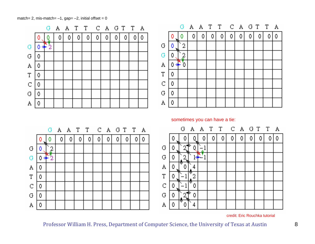match= 2, mis-match=  $-1$ , gap=  $-2$ , initial offset = 0



credit: Eric Rouchka tutorial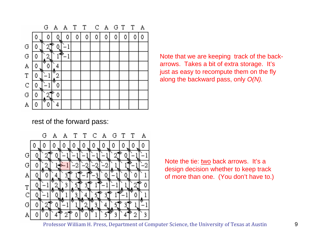

rest of the forward pass:



Note that we are keeping track of the backarrows. Takes a bit of extra storage. It's just as easy to recompute them on the fly along the backward pass, only *O(N).*

Note the tie: two back arrows. It's a design decision whether to keep track of more than one. (You don't have to.)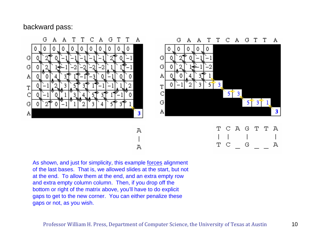## backward pass:



A

 $\mathbf T$  $\mathbb{C}$ G  $\mathbf{A}$ 

As shown, and just for simplicity, this example forces alignment of the last bases. That is, we allowed slides at the start, but not at the end. To allow them at the end, and an extra empty row and extra empty column column. Then, if you drop off the bottom or right of the matrix above, you'll have to do explicit gaps to get to the new corner. You can either penalize these gaps or not, as you wish.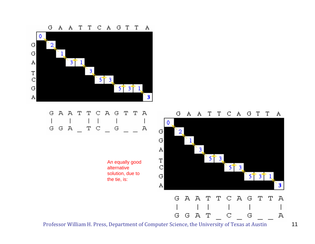$\mathbf G$  ${\bf A}$  $\mathbf{A}$  $\mathbf{A}$ T ፐ  $\mathbb{C}$  $\mathbf{A}$  $\mathbf G$ Т Т 0.  $|G|$  $\overline{2}$  $|G|$  $3<sup>†</sup>$ A  $3<sub>1</sub>$  $\mathbf T$  $\mathbb C$  $5^{\circ}3$  $|G|$  $5$ <sup> $\uparrow$ </sup>  $3$ <sup> $\uparrow$ </sup>  $\downarrow$ A 3

#### A A T T CAGTTA G. G G  $\mathbb{A}$ T G C А

An equally good alternative solution, due to the tie, is:

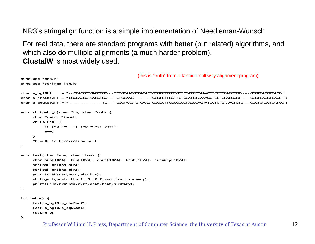NR3's stringalign function is a simple implementation of Needleman-Wunsch

For real data, there are standard programs with better (but related) algorithms, and which also do multiple alignments (a much harder problem). **ClustalW** is most widely used.

```
#include "nr3.h"#include "stringalign.h"
char a_hg18[] = "--CCAGGCTGAGCCGC---TGTGGAAGGGGAGAGTGGGTCTTGGTGCTCCATCCCAAACCTGCTGCAGCCGT----GGGTGAGGTCACC-";
char a_rheMac2[] = "GGCCAGGCTGAGCTGC---TGTGGAAG--------GGGTCTTGGTTCTCCATCTGAAACCTGCTGCAGCCGT----GGGTGAGGTCACC-";
char a_equCab1[] = "--------------TC---TGGGTAAG-GTGAAGTGGGCCTTGGCGCCCTACCCAGAATCCTCTGTAACTGTG---GGGTGAGGTCATGG";
void stripalign(char *in, char *out) {
     char *a=in, *b=out;
     while (*a) {
          if (*a != '-'') *b = *a; b++;}a++;
     }
     *b = 0; // terminating null
}
void test(char *ans, char *bns) {
     char ain[1024], bin[1024], aout[1024], bout[1024], summary[1024];
     stripalign(ans, ain);
     stripalign(bns, bin);
     printf("%s\n%s\n\n", ain, bin);
     stringalign(ain, bin, 1., 3., 0.2, aout, bout, summary);
     printf("%s\n%s\n%s\n\n", aout, bout, summary);
}
int main() {
     test(a_hg18,a_rheMac2);
     test(a_hg18,a_equCab1);
     return 0;
}
                                                   (this is "truth" from a fancier multiway alignment program)
```